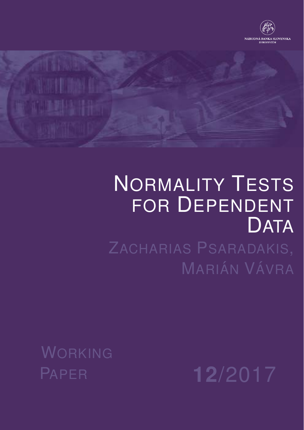



# NORMALITY TESTS FOR DEPENDENT DATA ZACHARIAS PSARADAKIS,

MARIÁN VÁVRA

WORKING

PAPER **12**/2017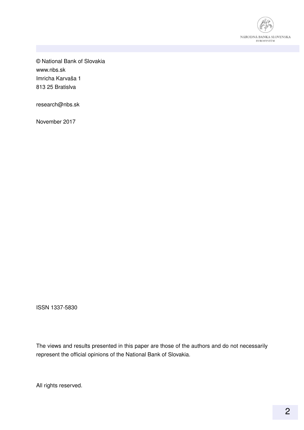

© National Bank of Slovakia www.nbs.sk Imricha Karvaša 1 813 25 Bratislva

research@nbs.sk

November 2017

ISSN 1337-5830

The views and results presented in this paper are those of the authors and do not necessarily represent the official opinions of the National Bank of Slovakia.

All rights reserved.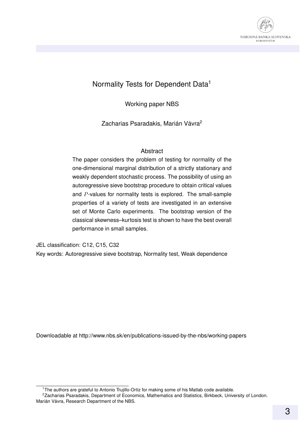

#### Normality Tests for Dependent Data<sup>1</sup>

Working paper NBS

Zacharias Psaradakis, Marián Vávra<sup>2</sup>

#### **Abstract**

The paper considers the problem of testing for normality of the one-dimensional marginal distribution of a strictly stationary and weakly dependent stochastic process. The possibility of using an autoregressive sieve bootstrap procedure to obtain critical values and P-values for normality tests is explored. The small-sample properties of a variety of tests are investigated in an extensive set of Monte Carlo experiments. The bootstrap version of the classical skewness–kurtosis test is shown to have the best overall performance in small samples.

JEL classification: C12, C15, C32 Key words: Autoregressive sieve bootstrap, Normality test, Weak dependence

Downloadable at http://www.nbs.sk/en/publications-issued-by-the-nbs/working-papers

<sup>&</sup>lt;sup>1</sup>The authors are grateful to Antonio Trujillo-Ortiz for making some of his Matlab code available.

<sup>&</sup>lt;sup>2</sup>Zacharias Psaradakis, Department of Economics, Mathematics and Statistics, Birkbeck, University of London. Marián Vávra, Research Department of the NBS.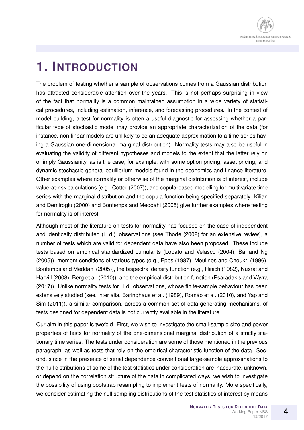

## **1. INTRODUCTION**

The problem of testing whether a sample of observations comes from a Gaussian distribution has attracted considerable attention over the years. This is not perhaps surprising in view of the fact that normality is a common maintained assumption in a wide variety of statistical procedures, including estimation, inference, and forecasting procedures. In the context of model building, a test for normality is often a useful diagnostic for assessing whether a particular type of stochastic model may provide an appropriate characterization of the data (for instance, non-linear models are unlikely to be an adequate approximation to a time series having a Gaussian one-dimensional marginal distribution). Normality tests may also be useful in evaluating the validity of different hypotheses and models to the extent that the latter rely on or imply Gaussianity, as is the case, for example, with some option pricing, asset pricing, and dynamic stochastic general equilibrium models found in the economics and finance literature. Other examples where normality or otherwise of the marginal distribution is of interest, include value-at-risk calculations (e.g., Cotter (2007)), and copula-based modelling for multivariate time series with the marginal distribution and the copula function being specified separately. Kilian and Demiroglu (2000) and Bontemps and Meddahi (2005) give further examples where testing for normality is of interest.

Although most of the literature on tests for normality has focused on the case of independent and identically distributed (i.i.d.) observations (see Thode (2002) for an extensive review), a number of tests which are valid for dependent data have also been proposed. These include tests based on empirical standardized cumulants (Lobato and Velasco (2004), Bai and Ng (2005)), moment conditions of various types (e.g., Epps (1987), Moulines and Choukri (1996), Bontemps and Meddahi (2005)), the bispectral density function (e.g., Hinich (1982), Nusrat and Harvill (2008), Berg et al. (2010)), and the empirical distribution function (Psaradakis and Vávra (2017)). Unlike normality tests for i.i.d. observations, whose finite-sample behaviour has been extensively studied (see, inter alia, Baringhaus et al. (1989), Romão et al. (2010), and Yap and Sim (2011)), a similar comparison, across a common set of data-generating mechanisms, of tests designed for dependent data is not currently available in the literature.

Our aim in this paper is twofold. First, we wish to investigate the small-sample size and power properties of tests for normality of the one-dimensional marginal distribution of a strictly stationary time series. The tests under consideration are some of those mentioned in the previous paragraph, as well as tests that rely on the empirical characteristic function of the data. Second, since in the presence of serial dependence conventional large-sample approximations to the null distributions of some of the test statistics under consideration are inaccurate, unknown, or depend on the correlation structure of the data in complicated ways, we wish to investigate the possibility of using bootstrap resampling to implement tests of normality. More specifically, we consider estimating the null sampling distributions of the test statistics of interest by means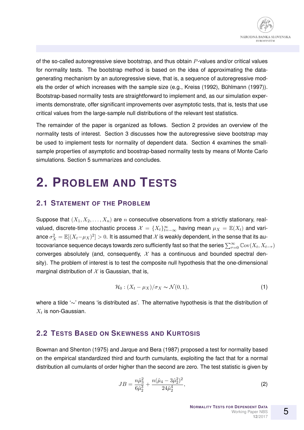of the so-called autoregressive sieve bootstrap, and thus obtain  $P$ -values and/or critical values for normality tests. The bootstrap method is based on the idea of approximating the datagenerating mechanism by an autoregressive sieve, that is, a sequence of autoregressive models the order of which increases with the sample size (e.g., Kreiss (1992), Bühlmann (1997)). Bootstrap-based normality tests are straightforward to implement and, as our simulation experiments demonstrate, offer significant improvements over asymptotic tests, that is, tests that use critical values from the large-sample null distributions of the relevant test statistics.

The remainder of the paper is organized as follows. Section 2 provides an overview of the normality tests of interest. Section 3 discusses how the autoregressive sieve bootstrap may be used to implement tests for normality of dependent data. Section 4 examines the smallsample properties of asymptotic and boostrap-based normality tests by means of Monte Carlo simulations. Section 5 summarizes and concludes.

# **2. PROBLEM AND TESTS**

#### **2.1 STATEMENT OF THE PROBLEM**

Suppose that  $(X_1, X_2, \ldots, X_n)$  are n consecutive observations from a strictly stationary, realvalued, discrete-time stochastic process  $\mathcal{X}=\{X_t\}_{t=-\infty}^\infty$  having mean  $\mu_X=\mathbb{E}(X_t)$  and variance  $\sigma_X^2=\mathbb{E}[(X_t-\mu_X)^2]>0.$  It is assumed that  $\mathcal X$  is weakly dependent, in the sense that its autocovariance sequence decays towards zero sufficiently fast so that the series  $\sum_{\tau=0}^{\infty}\mathbb{C}\mathrm{ov}(X_t,X_{t-\tau})$ converges absolutely (and, consequently,  $\mathcal X$  has a continuous and bounded spectral density). The problem of interest is to test the composite null hypothesis that the one-dimensional marginal distribution of  $X$  is Gaussian, that is,

$$
\mathcal{H}_0: (X_t - \mu_X)/\sigma_X \sim \mathcal{N}(0, 1), \tag{1}
$$

where a tilde '∼' means 'is distributed as'. The alternative hypothesis is that the distribution of  $X_t$  is non-Gaussian.

#### **2.2 TESTS BASED ON SKEWNESS AND KURTOSIS**

Bowman and Shenton (1975) and Jarque and Bera (1987) proposed a test for normality based on the empirical standardized third and fourth cumulants, exploiting the fact that for a normal distribution all cumulants of order higher than the second are zero. The test statistic is given by

$$
JB = \frac{n\hat{\mu}_3^2}{6\hat{\mu}_2^3} + \frac{n(\hat{\mu}_4 - 3\hat{\mu}_2^2)^2}{24\hat{\mu}_2^4},\tag{2}
$$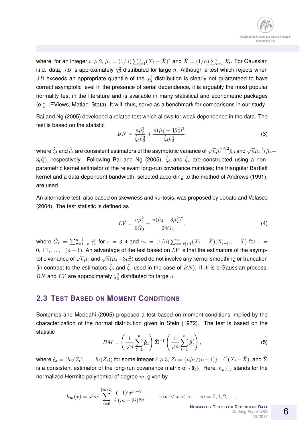

where, for an integer  $r\geqslant 2$ ,  $\hat{\mu}_r=(1/n)\sum_{t=1}^n(X_t-\bar{X})^r$  and  $\bar{X}=(1/n)\sum_{t=1}^nX_t.$  For Gaussian i.i.d. data,  $JB$  is approximately  $\chi^2_2$  distributed for large  $n.$  Although a test which rejects when  $JB$  exceeds an appropriate quantile of the  $\chi^2_2$  distribution is clearly not guaranteed to have correct asymptotic level in the presence of serial dependence, it is arguably the most popular normality test in the literature and is available in many statistical and econometric packages (e.g., EViews, Matlab, Stata). It will, thus, serve as a benchmark for comparisons in our study.

Bai and Ng (2005) developed a related test which allows for weak dependence in the data. The test is based on the statistic

$$
BN = \frac{n\hat{\mu}_3^2}{\hat{\zeta}_3 \hat{\mu}_2^3} + \frac{n(\hat{\mu}_4 - 3\hat{\mu}_2^2)^2}{\hat{\zeta}_4 \hat{\mu}_2^4},\tag{3}
$$

where  $\hat{\zeta}_3$  and  $\hat{\zeta}_4$  are consistent estimators of the asymptotic variance of  $\sqrt{n}\hat{\mu}_2^{-3/2}\hat{\mu}_3$  and  $\sqrt{n}\hat{\mu}_2^{-2}(\hat{\mu}_4 3\hat{\mu}_2^2$ ), respectively. Following Bai and Ng (2005),  $\hat{\zeta}_3$  and  $\hat{\zeta}_4$  are constructed using a nonparametric kernel estimator of the relevant long-run covariance matrices; the triangular Bartlett kernel and a data-dependent bandwidth, selected according to the method of Andrews (1991), are used.

An alternative test, also based on skewness and kurtosis, was proposed by Lobato and Velasco (2004). The test statistic is defined as

$$
LV = \frac{n\hat{\mu}_3^2}{6\hat{G}_3} + \frac{n(\hat{\mu}_4 - 3\hat{\mu}_2^2)^2}{24\hat{G}_4},\tag{4}
$$

where  $\hat G_r = \sum_{\tau=1-n}^{n-1} \hat\gamma_\tau^r$  for  $r=3,4$  and  $\hat\gamma_\tau=(1/n)\sum_{t=|\tau|+1}^n (X_t-\bar X)(X_{t-|\tau|}-\bar X)$  for  $\tau=$  $0, \pm 1, \ldots, \pm (n-1)$ . An advantage of the test based on LV is that the estimators of the asymptotic variance of  $\sqrt{n}\hat{\mu}_3$  and  $\sqrt{n}(\hat{\mu}_4-3\hat{\mu}_2^2)$  used do not involve any kernel smoothing or truncation (in contrast to the estimators  $\hat{\zeta}_3$  and  $\hat{\zeta}_4$  used in the case of  $BN$ ). If  $\mathcal X$  is a Gaussian process,  $BN$  and  $LV$  are approximately  $\chi^2_2$  distributed for large  $n.$ 

#### **2.3 TEST BASED ON MOMENT CONDITIONS**

Bontemps and Meddahi (2005) proposed a test based on moment conditions implied by the characterization of the normal distribution given in Stein (1972). The test is based on the statistic

$$
BM = \left(\frac{1}{\sqrt{n}} \sum_{t=1}^{n} \hat{\mathbf{g}}_t\right) \hat{\Sigma}^{-1} \left(\frac{1}{\sqrt{n}} \sum_{t=1}^{n} \hat{\mathbf{g}}'_t\right),\tag{5}
$$

where  $\mathbf{\hat{g}}_t = (h_3(Z_t), \dots, h_\ell(Z_t))$  for some integer  $\ell \geqslant 3,$   $Z_t = \{n\hat\mu_2/(n-1)\}^{-1/2}(X_t - \bar X),$  and  $\mathbf{\hat{\Sigma}}$ is a consistent estimator of the long-run covariance matrix of  $\{\hat{\mathbf{g}}_t\}$ . Here,  $h_m(\cdot)$  stands for the normalized Hermite polynomial of degree  $m$ , given by

$$
h_m(x)=\sqrt{m!}\sum_{i=0}^{\lfloor m/2\rfloor}\frac{(-1)^ix^{m-2i}}{i!(m-2i)!2^i},\qquad -\infty   
 **Nonmality Tests for Depende**
$$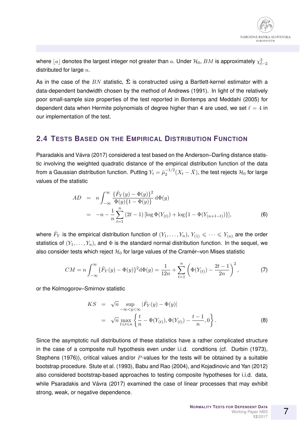where  $\lfloor a\rfloor$  denotes the largest integer not greater than  $a.$  Under  $\mathcal{H}_0,$   $BM$  is approximately  $\chi^2_{\ell-2}$ distributed for large  $n$ .

As in the case of the BN statistic,  $\hat{\Sigma}$  is constructed using a Bartlett-kernel estimator with a data-dependent bandwidth chosen by the method of Andrews (1991). In light of the relatively poor small-sample size properties of the test reported in Bontemps and Meddahi (2005) for dependent data when Hermite polynomials of degree higher than 4 are used, we set  $\ell = 4$  in our implementation of the test.

#### **2.4 TESTS BASED ON THE EMPIRICAL DISTRIBUTION FUNCTION**

Psaradakis and Vávra (2017) considered a test based on the Anderson–Darling distance statistic involving the weighted quadratic distance of the empirical distribution function of the data from a Gaussian distribution function. Putting  $Y_t=\hat{\mu}_2^{-1/2}$  $\frac{-1/2}{2} (X_t - \bar X),$  the test rejects  ${\cal H}_0$  for large values of the statistic

$$
AD = n \int_{-\infty}^{\infty} \frac{\{\hat{F}_Y(y) - \Phi(y)\}^2}{\Phi(y)\{1 - \Phi(y)\}} d\Phi(y)
$$
  
= 
$$
-n - \frac{1}{n} \sum_{t=1}^n (2t - 1) [\log \Phi(Y_{(t)}) + \log\{1 - \Phi(Y_{(n+1-t)})\}],
$$
(6)

where  $\hat{F}_Y$  is the empirical distribution function of  $(Y_1,\ldots,Y_n),\,Y_{(1)}\leqslant\cdots\leqslant Y_{(n)}$  are the order statistics of  $(Y_1, \ldots, Y_n)$ , and  $\Phi$  is the standard normal distribution function. In the sequel, we also consider tests which reject  $\mathcal{H}_0$  for large values of the Cramér–von Mises statistic

$$
CM = n \int_{-\infty}^{\infty} {\{\hat{F}_Y(y) - \Phi(y)\} }^2 d\Phi(y) = \frac{1}{12n} + \sum_{t=1}^n {\left(\Phi(Y_{(t)}) - \frac{2t-1}{2n}\right)}^2, \tag{7}
$$

or the Kolmogorov–Smirnov statistic

$$
KS = \sqrt{n} \sup_{-\infty < y < \infty} |\hat{F}_Y(y) - \Phi(y)|
$$
\n
$$
= \sqrt{n} \max_{1 \leq t \leq n} \left\{ \frac{t}{n} - \Phi(Y_{(t)}), \Phi(Y_{(t)}) - \frac{t-1}{n}, 0 \right\}.
$$
\n(8)

Since the asymptotic null distributions of these statistics have a rather complicated structure in the case of a composite null hypothesis even under i.i.d. conditions (cf. Durbin (1973), Stephens (1976)), critical values and/or  $P$ -values for the tests will be obtained by a suitable bootstrap procedure. Stute et al. (1993), Babu and Rao (2004), and Kojadinovic and Yan (2012) also considered bootstrap-based approaches to testing composite hypotheses for i.i.d. data, while Psaradakis and Vávra (2017) examined the case of linear processes that may exhibit strong, weak, or negative dependence.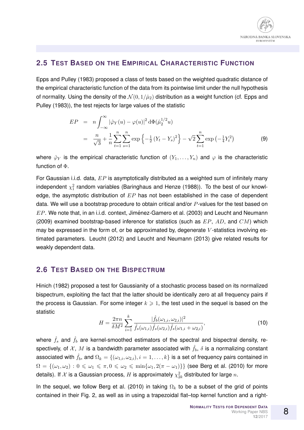

#### **2.5 TEST BASED ON THE EMPIRICAL CHARACTERISTIC FUNCTION**

Epps and Pulley (1983) proposed a class of tests based on the weighted quadratic distance of the empirical characteristic function of the data from its pointwise limit under the null hypothesis of normality. Using the density of the  $\mathcal{N}(0, 1/\hat{\mu}_2)$  distribution as a weight function (cf. Epps and Pulley (1983)), the test rejects for large values of the statistic

$$
EP = n \int_{-\infty}^{\infty} |\hat{\varphi}_Y(u) - \varphi(u)|^2 d\Phi(\hat{\mu}_2^{1/2} u)
$$
  
= 
$$
\frac{n}{\sqrt{3}} + \frac{1}{n} \sum_{t=1}^n \sum_{s=1}^n \exp\left\{-\frac{1}{2} (Y_t - Y_s)^2\right\} - \sqrt{2} \sum_{t=1}^n \exp\left(-\frac{1}{4} Y_t^2\right)
$$
(9)

where  $\hat{\varphi}_Y$  is the empirical characteristic function of  $(Y_1, \ldots, Y_n)$  and  $\varphi$  is the characteristic function of Φ.

For Gaussian i.i.d. data,  $EP$  is asymptotically distributed as a weighted sum of infinitely many independent  $\chi_1^2$  random variables (Baringhaus and Henze (1988)). To the best of our knowledge, the asymptotic distribution of  $EP$  has not been established in the case of dependent data. We will use a bootstrap procedure to obtain critical and/or  $P$ -values for the test based on  $EP$ . We note that, in an i.i.d. context, Jiménez-Gamero et al. (2003) and Leucht and Neumann (2009) examined bootstrap-based inference for statistics (such as  $EP$ ,  $AD$ , and  $CM$ ) which may be expressed in the form of, or be approximated by, degenerate V-statistics involving estimated parameters. Leucht (2012) and Leucht and Neumann (2013) give related results for weakly dependent data.

#### **2.6 TEST BASED ON THE BISPECTRUM**

Hinich (1982) proposed a test for Gaussianity of a stochastic process based on its normalized bispectrum, exploiting the fact that the latter should be identically zero at all frequency pairs if the process is Gaussian. For some integer  $k \geqslant 1$ , the test used in the sequel is based on the statistic

$$
H = \frac{2\pi n}{\delta M^2} \sum_{i=1}^k \frac{|\hat{f}_b(\omega_{1,i}, \omega_{2,i})|^2}{\hat{f}_s(\omega_{1,i})\hat{f}_s(\omega_{2,i})\hat{f}_s(\omega_{1,i} + \omega_{2,i})},
$$
(10)

where  $\hat{f}_s$  and  $\hat{f}_b$  are kernel-smoothed estimators of the spectral and bispectral density, respectively, of X, M is a bandwidth parameter associated with  $\hat{f}_b$ ,  $\delta$  is a normalizing constant associated with  $\hat{f}_b$ , and  $\Omega_k = \{(\omega_{1,i}, \omega_{2,i}), i = 1, \ldots, k\}$  is a set of frequency pairs contained in  $\Omega = \{(\omega_1, \omega_2) : 0 \leq \omega_1 \leq \pi, 0 \leq \omega_2 \leq \min\{\omega_1, 2(\pi - \omega_1)\}\}\$  (see Berg et al. (2010) for more details). If  ${\mathcal X}$  is a Gaussian process,  $H$  is approximately  $\chi^2_{2k}$  distributed for large  $n.$ 

In the sequel, we follow Berg et al. (2010) in taking  $\Omega_k$  to be a subset of the grid of points contained in their Fig. 2, as well as in using a trapezoidal flat–top kernel function and a right-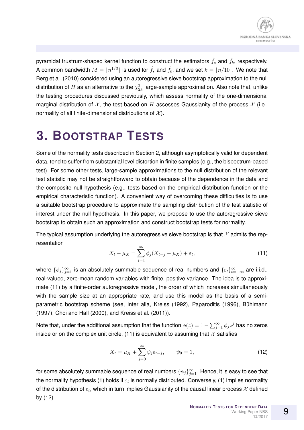

pyramidal frustrum-shaped kernel function to construct the estimators  $\hat{f}_s$  and  $\hat{f}_b$ , respectively. A common bandwidth  $M=\lfloor n^{1/3}\rfloor$  is used for  $\hat{f}_s$  and  $\hat{f}_b$ , and we set  $k=\lfloor n/10\rfloor.$  We note that Berg et al. (2010) considered using an autoregressive sieve bootstrap approximation to the null distribution of  $H$  as an alternative to the  $\chi^2_{2k}$  large-sample approximation. Also note that, unlike the testing procedures discussed previously, which assess normality of the one-dimensional marginal distribution of X, the test based on H assesses Gaussianity of the process X (i.e., normality of all finite-dimensional distributions of  $\mathcal{X}$ ).

### **3. BOOTSTRAP TESTS**

Some of the normality tests described in Section 2, although asymptotically valid for dependent data, tend to suffer from substantial level distortion in finite samples (e.g., the bispectrum-based test). For some other tests, large-sample approximations to the null distribution of the relevant test statistic may not be straightforward to obtain because of the dependence in the data and the composite null hypothesis (e.g., tests based on the empirical distribution function or the empirical characteristic function). A convenient way of overcoming these difficulties is to use a suitable bootstrap procedure to approximate the sampling distribution of the test statistic of interest under the null hypothesis. In this paper, we propose to use the autoregressive sieve bootstrap to obtain such an approximation and construct bootstrap tests for normality.

The typical assumption underlying the autoregressive sieve bootstrap is that  $\mathcal X$  admits the representation

$$
X_t - \mu_X = \sum_{j=1}^{\infty} \phi_j (X_{t-j} - \mu_X) + \varepsilon_t,
$$
\n(11)

where  $\{\phi_j\}_{j=1}^\infty$  is an absolutely summable sequence of real numbers and  $\{\varepsilon_t\}_{t=-\infty}^\infty$  are i.i.d., real-valued, zero-mean random variables with finite, positive variance. The idea is to approximate (11) by a finite-order autoregressive model, the order of which increases simultaneously with the sample size at an appropriate rate, and use this model as the basis of a semiparametric bootstrap scheme (see, inter alia, Kreiss (1992), Paparoditis (1996), Bühlmann (1997), Choi and Hall (2000), and Kreiss et al. (2011)).

Note that, under the additional assumption that the function  $\phi(z)=1-\sum_{j=1}^\infty \phi_j z^j$  has no zeros inside or on the complex unit circle, (11) is equivalent to assuming that  $\mathcal X$  satisfies

$$
X_t = \mu_X + \sum_{j=0}^{\infty} \psi_j \varepsilon_{t-j}, \qquad \psi_0 = 1,
$$
\n(12)

for some absolutely summable sequence of real numbers  $\{\psi_j\}_{j=1}^\infty.$  Hence, it is easy to see that the normality hypothesis (1) holds if  $\varepsilon_t$  is normally distributed. Conversely, (1) implies normality of the distribution of  $\varepsilon_t$ , which in turn implies Gaussianity of the causal linear process  $\mathcal X$  defined by (12).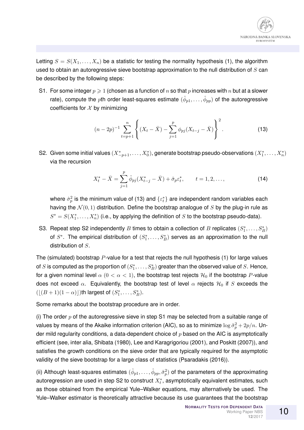

Letting  $S = S(X_1, \ldots, X_n)$  be a statistic for testing the normality hypothesis (1), the algorithm used to obtain an autoregressive sieve bootstrap approximation to the null distribution of  $S$  can be described by the following steps:

S1. For some integer  $p \geqslant 1$  (chosen as a function of n so that p increases with n but at a slower rate), compute the  $p$ th order least-squares estimate  $(\hat{\phi}_{p1},\ldots,\hat{\phi}_{pp})$  of the autoregressive coefficients for  $X$  by minimizing

$$
(n-2p)^{-1} \sum_{t=p+1}^{n} \left\{ (X_t - \bar{X}) - \sum_{j=1}^{p} \phi_{pj} (X_{t-j} - \bar{X}) \right\}^2.
$$
 (13)

S2. Given some initial values  $(X_{-p+1}^*,\ldots,X_0^*)$ , generate bootstrap pseudo-observations  $(X_1^*,\ldots,X_n^*)$ via the recursion

$$
X_t^* - \bar{X} = \sum_{j=1}^p \hat{\phi}_{pj} (X_{t-j}^* - \bar{X}) + \hat{\sigma}_p \varepsilon_t^*, \qquad t = 1, 2, \dots,
$$
 (14)

where  $\hat{\sigma}^2_p$  is the minimum value of (13) and  $\{\varepsilon^*_t\}$  are independent random variables each having the  $\mathcal{N}(0,1)$  distribution. Define the bootstrap analogue of S by the plug-in rule as  $S^* = S(X_1^*, \ldots, X_n^*)$  (i.e., by applying the definition of S to the bootstrap pseudo-data).

S3. Repeat step S2 independently  $B$  times to obtain a collection of  $B$  replicates  $(S_1^*,\ldots, S_B^*)$ of  $S^*$ . The empirical distribution of  $(S_1^*,\ldots,S_B^*)$  serves as an approximation to the null distribution of S.

The (simulated) bootstrap  $P$ -value for a test that rejects the null hypothesis (1) for large values of  $S$  is computed as the proportion of  $(S_1^*,\ldots,S_B^*)$  greater than the observed value of  $S.$  Hence, for a given nominal level  $\alpha$  ( $0 < \alpha < 1$ ), the bootstrap test rejects  $\mathcal{H}_0$  if the bootstrap P-value does not exceed  $\alpha$ . Equivalently, the bootstrap test of level  $\alpha$  rejects  $\mathcal{H}_0$  if S exceeds the  $(\lfloor (B+1)(1-\alpha) \rfloor)$ th largest of  $(S_1^*, \ldots, S_B^*).$ 

Some remarks about the bootstrap procedure are in order.

(i) The order  $p$  of the autoregressive sieve in step S1 may be selected from a suitable range of values by means of the Akaike information criterion (AIC), so as to minimize  $\log \hat{\sigma}_{p}^2 + 2p/n$ . Under mild regularity conditions, a data-dependent choice of  $p$  based on the AIC is asymptotically efficient (see, inter alia, Shibata (1980), Lee and Karagrigoriou (2001), and Poskitt (2007)), and satisfies the growth conditions on the sieve order that are typically required for the asymptotic validity of the sieve bootstrap for a large class of statistics (Psaradakis (2016)).

(ii) Although least-squares estimates  $(\hat{\phi}_{p1},\ldots,\hat{\phi}_{pp},\hat{\sigma}_p^2)$  of the parameters of the approximating autoregression are used in step S2 to construct  $X_t^*$ , asymptotically equivalent estimates, such as those obtained from the empirical Yule–Walker equations, may alternatively be used. The Yule–Walker estimator is theoretically attractive because its use guarantees that the bootstrap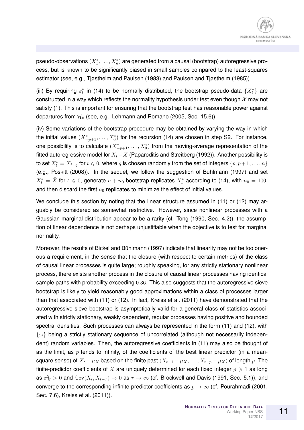pseudo-observations  $(X_1^*,\ldots,X_n^*)$  are generated from a causal (bootstrap) autoregressive process, but is known to be significantly biased in small samples compared to the least-squares estimator (see, e.g., Tjøstheim and Paulsen (1983) and Paulsen and Tjøstheim (1985)).

(iii) By requiring  $\varepsilon_t^*$  in (14) to be normally distributed, the bootstrap pseudo-data  $\{X_t^*\}$  are constructed in a way which reflects the normality hypothesis under test even though  $\mathcal X$  may not satisfy (1). This is important for ensuring that the bootstrap test has reasonable power against departures from  $H_0$  (see, e.g., Lehmann and Romano (2005, Sec. 15.6)).

(iv) Some variations of the bootstrap procedure may be obtained by varying the way in which the initial values  $(X^*_{-p+1},\ldots,X^*_0)$  for the recursion (14) are chosen in step S2. For instance, one possibility is to calculate  $(X^*_{-p+1},\ldots,X^*_0)$  from the moving-average representation of the fitted autoregressive model for  $X_t-\bar{X}$  (Paparoditis and Streitberg (1992)). Another possibility is to set  $X^*_t=X_{t+q}$  for  $t\leqslant 0$ , where  $q$  is chosen randomly from the set of integers  $\{p,p+1,\ldots,n\}$ (e.g., Poskitt (2008)). In the sequel, we follow the suggestion of Bühlmann (1997) and set  $X_t^* = \bar{X}$  for  $t \leqslant 0$ , generate  $n + n_0$  bootstrap replicates  $X_t^*$  according to (14), with  $n_0 = 100$ , and then discard the first  $n_0$  replicates to minimize the effect of initial values.

We conclude this section by noting that the linear structure assumed in (11) or (12) may arguably be considered as somewhat restrictive. However, since nonlinear processes with a Gaussian marginal distribution appear to be a rarity (cf. Tong (1990, Sec. 4.2)), the assumption of linear dependence is not perhaps unjustifiable when the objective is to test for marginal normality.

Moreover, the results of Bickel and Bühlmann (1997) indicate that linearity may not be too onerous a requirement, in the sense that the closure (with respect to certain metrics) of the class of causal linear processes is quite large; roughly speaking, for any strictly stationary nonlinear process, there exists another process in the closure of causal linear processes having identical sample paths with probability exceeding 0.36. This also suggests that the autoregressive sieve bootstrap is likely to yield reasonably good approximations within a class of processes larger than that associated with (11) or (12). In fact, Kreiss et al. (2011) have demonstrated that the autoregressive sieve bootstrap is asymptotically valid for a general class of statistics associated with strictly stationary, weakly dependent, regular processes having positive and bounded spectral densities. Such processes can always be represented in the form (11) and (12), with  $\{\varepsilon_t\}$  being a strictly stationary sequence of uncorrelated (although not necessarily independent) random variables. Then, the autoregressive coefficients in (11) may also be thought of as the limit, as  $p$  tends to infinity, of the coefficients of the best linear predictor (in a meansquare sense) of  $X_t - \mu_X$  based on the finite past  $(X_{t-1} - \mu_X, \dots, X_{t-p} - \mu_X)$  of length p. The finite-predictor coefficients of  $\mathcal X$  are uniquely determined for each fixed integer  $p \geq 1$  as long as  $\sigma_X^2>0$  and  $\mathbb{C}\mathrm{ov}(X_t,X_{t-\tau})\to 0$  as  $\tau\to\infty$  (cf. Brockwell and Davis (1991, Sec. 5.1)), and converge to the corresponding infinite-predictor coefficients as  $p \to \infty$  (cf. Pourahmadi (2001, Sec. 7.6), Kreiss et al. (2011)).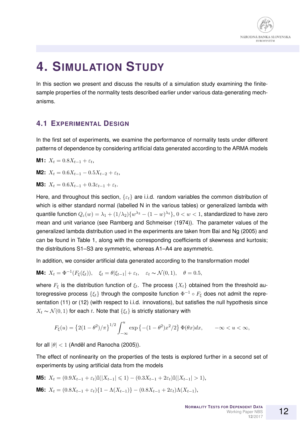

## **4. SIMULATION STUDY**

In this section we present and discuss the results of a simulation study examining the finitesample properties of the normality tests described earlier under various data-generating mechanisms.

#### **4.1 EXPERIMENTAL DESIGN**

In the first set of experiments, we examine the performance of normality tests under different patterns of dependence by considering artificial data generated according to the ARMA models

**M1:**  $X_t = 0.8X_{t-1} + \varepsilon_t$ ,

**M2:**  $X_t = 0.6X_{t-1} - 0.5X_{t-2} + \varepsilon_t$ 

**M3:**  $X_t = 0.6X_{t-1} + 0.3\varepsilon_{t-1} + \varepsilon_t$ .

Here, and throughout this section,  $\{\varepsilon_t\}$  are i.i.d. random variables the common distribution of which is either standard normal (labelled N in the various tables) or generalized lambda with quantile function  $Q_\varepsilon(w)=\lambda_1+(1/\lambda_2)\{w^{\lambda_3}-(1-w)^{\lambda_4}\},\,0< w < 1,$  standardized to have zero mean and unit variance (see Ramberg and Schmeiser (1974)). The parameter values of the generalized lambda distribution used in the experiments are taken from Bai and Ng (2005) and can be found in Table 1, along with the corresponding coefficients of skewness and kurtosis; the distributions S1–S3 are symmetric, whereas A1–A4 are asymmetric.

In addition, we consider artificial data generated according to the transformation model

**M4:** 
$$
X_t = \Phi^{-1}(F_{\xi}(\xi_t)), \quad \xi_t = \theta |\xi_{t-1}| + \varepsilon_t, \quad \varepsilon_t \sim \mathcal{N}(0, 1), \quad \theta = 0.5,
$$

where  $F_{\xi}$  is the distribution function of  $\xi_t$ . The process  $\{X_t\}$  obtained from the threshold autoregressive process  $\{\xi_t\}$  through the composite function  $\Phi^{-1}\circ F_\xi$  does not admit the representation (11) or (12) (with respect to i.i.d. innovations), but satisfies the null hypothesis since  $X_t \sim \mathcal{N}(0, 1)$  for each t. Note that  $\{\xi_t\}$  is strictly stationary with

$$
F_{\xi}(u) = \left\{2(1-\theta^2)/\pi\right\}^{1/2} \int_{-\infty}^{u} \exp\left\{-(1-\theta^2)x^2/2\right\} \Phi(\theta x) dx, \qquad -\infty < u < \infty,
$$

for all  $|\theta|$  < 1 (Anděl and Ranocha (2005)).

The effect of nonlinearity on the properties of the tests is explored further in a second set of experiments by using artificial data from the models

**M5:** 
$$
X_t = (0.9X_{t-1} + \varepsilon_t)\mathbb{I}(|X_{t-1}| \le 1) - (0.3X_{t-1} + 2\varepsilon_t)\mathbb{I}(|X_{t-1}| > 1),
$$

**M6:**  $X_t = (0.8X_{t-1} + \varepsilon_t)\{1 - \Lambda(X_{t-1})\} - (0.8X_{t-1} + 2\varepsilon_t)\Lambda(X_{t-1}),$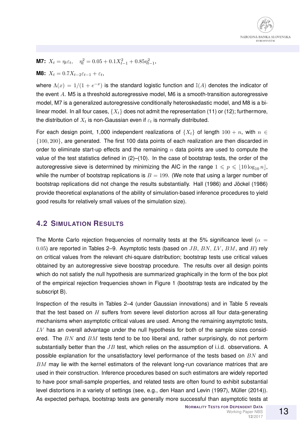

**M7:**  $X_t = \eta_t \varepsilon_t$ ,  $\eta_t^2 = 0.05 + 0.1 X_{t-1}^2 + 0.85 \eta_{t-1}^2$ ,

**M8:**  $X_t = 0.7X_{t-2}\varepsilon_{t-1} + \varepsilon_t$ ,

where  $\Lambda(x) = 1/(1 + e^{-x})$  is the standard logistic function and  $\mathbb{I}(A)$  denotes the indicator of the event A. M5 is a threshold autoregressive model, M6 is a smooth-transition autoregressive model, M7 is a generalized autoregressive conditionally heteroskedastic model, and M8 is a bilinear model. In all four cases,  $\{X_t\}$  does not admit the representation (11) or (12); furthermore, the distribution of  $X_t$  is non-Gaussian even if  $\varepsilon_t$  is normally distributed.

For each design point, 1,000 independent realizations of  $\{X_t\}$  of length  $100 + n$ , with  $n \in$ {100, 200}, are generated. The first 100 data points of each realization are then discarded in order to eliminate start-up effects and the remaining  $n$  data points are used to compute the value of the test statistics defined in  $(2)$ – $(10)$ . In the case of bootstrap tests, the order of the autoregressive sieve is determined by minimizing the AIC in the range  $1 \leq p \leq 10 \log_{10} n$ , while the number of bootstrap replications is  $B = 199$ . (We note that using a larger number of bootstrap replications did not change the results substantially. Hall (1986) and Jöckel (1986) provide theoretical explanations of the ability of simulation-based inference procedures to yield good results for relatively small values of the simulation size).

#### **4.2 SIMULATION RESULTS**

The Monte Carlo rejection frequencies of normality tests at the 5% significance level ( $\alpha =$ 0.05) are reported in Tables 2–9. Asymptotic tests (based on  $JB$ ,  $BN$ ,  $LV$ ,  $BM$ , and  $H$ ) rely on critical values from the relevant chi-square distribution; bootstrap tests use critical values obtained by an autoregressive sieve boostrap procedure. The results over all design points which do not satisfy the null hypothesis are summarized graphically in the form of the box plot of the empirical rejection frequencies shown in Figure 1 (bootstrap tests are indicated by the subscript B).

Inspection of the results in Tables 2–4 (under Gaussian innovations) and in Table 5 reveals that the test based on  $H$  suffers from severe level distortion across all four data-generating mechanisms when asymptotic critical values are used. Among the remaining asymptotic tests,  $LV$  has an overall advantage under the null hypothesis for both of the sample sizes considered. The  $BN$  and  $BM$  tests tend to be too liberal and, rather surprisingly, do not perform substantially better than the  $JB$  test, which relies on the assumption of i.i.d. observations. A possible explanation for the unsatisfactory level performance of the tests based on  $BN$  and BM may lie with the kernel estimators of the relevant long-run covariance matrices that are used in their construction. Inference procedures based on such estimators are widely reported to have poor small-sample properties, and related tests are often found to exhibit substantial level distortions in a variety of settings (see, e.g., den Haan and Levin (1997), Müller (2014)). As expected perhaps, bootstrap tests are generally more successful than asymptotic tests at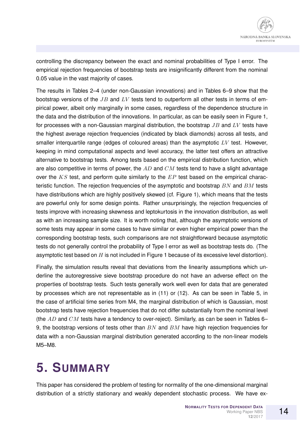controlling the discrepancy between the exact and nominal probabilities of Type I error. The empirical rejection frequencies of bootstrap tests are insignificantly different from the nominal 0.05 value in the vast majority of cases.

The results in Tables 2–4 (under non-Gaussian innovations) and in Tables 6–9 show that the bootstrap versions of the  $JB$  and  $LV$  tests tend to outperform all other tests in terms of empirical power, albeit only marginally in some cases, regardless of the dependence structure in the data and the distribution of the innovations. In particular, as can be easily seen in Figure 1, for processes with a non-Gaussian marginal distribution, the bootstrap  $JB$  and  $LV$  tests have the highest average rejection frequencies (indicated by black diamonds) across all tests, and smaller interquartile range (edges of coloured areas) than the asymptotic  $LV$  test. However, keeping in mind computational aspects and level accuracy, the latter test offers an attractive alternative to bootstrap tests. Among tests based on the empirical distribution function, which are also competitive in terms of power, the  $AD$  and  $CM$  tests tend to have a slight advantage over the  $KS$  test, and perform quite similarly to the  $EP$  test based on the empirical characteristic function. The rejection frequencies of the asymptotic and bootstrap  $BN$  and  $BM$  tests have distributions which are highly positively skewed (cf. Figure 1), which means that the tests are powerful only for some design points. Rather unsurprisingly, the rejection frequencies of tests improve with increasing skewness and leptokurtosis in the innovation distribution, as well as with an increasing sample size. It is worth noting that, although the asymptotic versions of some tests may appear in some cases to have similar or even higher empirical power than the corresponding bootstrap tests, such comparisons are not straightforward because asymptotic tests do not generally control the probability of Type I error as well as bootstrap tests do. (The asymptotic test based on  $H$  is not included in Figure 1 because of its excessive level distortion).

Finally, the simulation results reveal that deviations from the linearity assumptions which underline the autoregressive sieve bootstrap procedure do not have an adverse effect on the properties of bootstrap tests. Such tests generally work well even for data that are generated by processes which are not representable as in (11) or (12). As can be seen in Table 5, in the case of artificial time series from M4, the marginal distribution of which is Gaussian, most bootstrap tests have rejection frequencies that do not differ substantially from the nominal level (the  $AD$  and  $CM$  tests have a tendency to over-reject). Similarly, as can be seen in Tables 6– 9, the bootstrap versions of tests other than  $BN$  and  $BM$  have high rejection frequencies for data with a non-Gaussian marginal distribution generated according to the non-linear models M5–M8.

# **5. SUMMARY**

This paper has considered the problem of testing for normality of the one-dimensional marginal distribution of a strictly stationary and weakly dependent stochastic process. We have ex-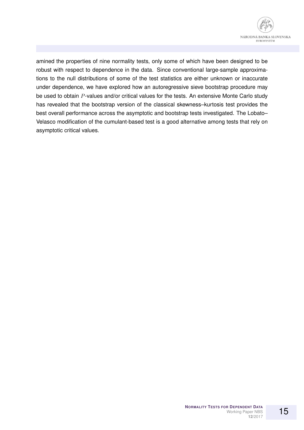

amined the properties of nine normality tests, only some of which have been designed to be robust with respect to dependence in the data. Since conventional large-sample approximations to the null distributions of some of the test statistics are either unknown or inaccurate under dependence, we have explored how an autoregressive sieve bootstrap procedure may be used to obtain P-values and/or critical values for the tests. An extensive Monte Carlo study has revealed that the bootstrap version of the classical skewness–kurtosis test provides the best overall performance across the asymptotic and bootstrap tests investigated. The Lobato– Velasco modification of the cumulant-based test is a good alternative among tests that rely on asymptotic critical values.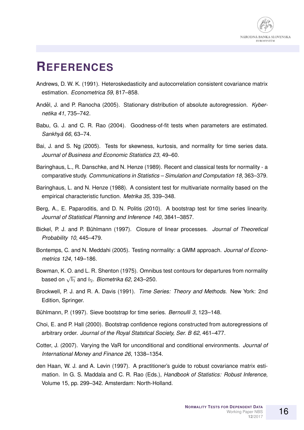

### **REFERENCES**

- Andrews, D. W. K. (1991). Heteroskedasticity and autocorrelation consistent covariance matrix estimation. *Econometrica 59*, 817–858.
- Anděl, J. and P. Ranocha (2005). Stationary distribution of absolute autoregression. Kyber*netika 41*, 735–742.
- Babu, G. J. and C. R. Rao (2004). Goodness-of-fit tests when parameters are estimated. *Sankhya 66 ¯* , 63–74.
- Bai, J. and S. Ng (2005). Tests for skewness, kurtosis, and normality for time series data. *Journal of Business and Economic Statistics 23*, 49–60.
- Baringhaus, L., R. Danschke, and N. Henze (1989). Recent and classical tests for normality a comparative study. *Communications in Statistics – Simulation and Computation 18*, 363–379.
- Baringhaus, L. and N. Henze (1988). A consistent test for multivariate normality based on the empirical characteristic function. *Metrika 35*, 339–348.
- Berg, A., E. Paparoditis, and D. N. Politis (2010). A bootstrap test for time series linearity. *Journal of Statistical Planning and Inference 140*, 3841–3857.
- Bickel, P. J. and P. Buhlmann (1997). Closure of linear processes. ¨ *Journal of Theoretical Probability 10*, 445–479.
- Bontemps, C. and N. Meddahi (2005). Testing normality: a GMM approach. *Journal of Econometrics 124*, 149–186.
- Bowman, K. O. and L. R. Shenton (1975). Omnibus test contours for departures from normality based on  $\sqrt{b_1}$  and  $b_2$ . *Biometrika 62*, 243–250.
- Brockwell, P. J. and R. A. Davis (1991). *Time Series: Theory and Methods*. New York: 2nd Edition, Springer.
- Bühlmann, P. (1997). Sieve bootstrap for time series. *Bernoulli 3*, 123–148.
- Choi, E. and P. Hall (2000). Bootstrap confidence regions constructed from autoregressions of arbitrary order. *Journal of the Royal Statstical Society, Ser. B 62*, 461–477.
- Cotter, J. (2007). Varying the VaR for unconditional and conditional environments. *Journal of International Money and Finance 26*, 1338–1354.
- den Haan, W. J. and A. Levin (1997). A practitioner's guide to robust covariance matrix estimation. In G. S. Maddala and C. R. Rao (Eds.), *Handbook of Statistics: Robust Inference*, Volume 15, pp. 299–342. Amsterdam: North-Holland.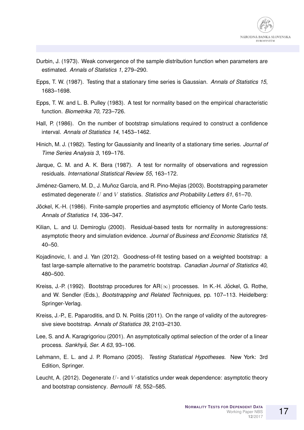

- Durbin, J. (1973). Weak convergence of the sample distribution function when parameters are estimated. *Annals of Statistics 1*, 279–290.
- Epps, T. W. (1987). Testing that a stationary time series is Gaussian. *Annals of Statistics 15*, 1683–1698.
- Epps, T. W. and L. B. Pulley (1983). A test for normality based on the empirical characteristic function. *Biometrika 70*, 723–726.
- Hall, P. (1986). On the number of bootstrap simulations required to construct a confidence interval. *Annals of Statistics 14*, 1453–1462.
- Hinich, M. J. (1982). Testing for Gaussianity and linearity of a stationary time series. *Journal of Time Series Analysis 3*, 169–176.
- Jarque, C. M. and A. K. Bera (1987). A test for normality of observations and regression residuals. *International Statistical Review 55*, 163–172.
- Jiménez-Gamero, M. D., J. Muñoz García, and R. Pino-Mejías (2003). Bootstrapping parameter estimated degenerate U and V statistics. *Statistics and Probability Letters 61*, 61–70.
- Jöckel, K.-H. (1986). Finite-sample properties and asymptotic efficiency of Monte Carlo tests. *Annals of Statistics 14*, 336–347.
- Kilian, L. and U. Demiroglu (2000). Residual-based tests for normality in autoregressions: asymptotic theory and simulation evidence. *Journal of Business and Economic Statistics 18*, 40–50.
- Kojadinovic, I. and J. Yan (2012). Goodness-of-fit testing based on a weighted bootstrap: a fast large-sample alternative to the parametric bootstrap. *Canadian Journal of Statistics 40*, 480–500.
- Kreiss, J.-P. (1992). Bootstrap procedures for  $AR(\infty)$  processes. In K.-H. Jöckel, G. Rothe, and W. Sendler (Eds.), *Bootstrapping and Related Techniques*, pp. 107–113. Heidelberg: Springer-Verlag.
- Kreiss, J.-P., E. Paparoditis, and D. N. Politis (2011). On the range of validity of the autoregressive sieve bootstrap. *Annals of Statistics 39*, 2103–2130.
- Lee, S. and A. Karagrigoriou (2001). An asymptotically optimal selection of the order of a linear process. *Sankhyā, Ser. A 63*, 93-106.
- Lehmann, E. L. and J. P. Romano (2005). *Testing Statistical Hypotheses*. New York: 3rd Edition, Springer.
- Leucht, A. (2012). Degenerate  $U$  and V-statistics under weak dependence: asymptotic theory and bootstrap consistency. *Bernoulli 18*, 552–585.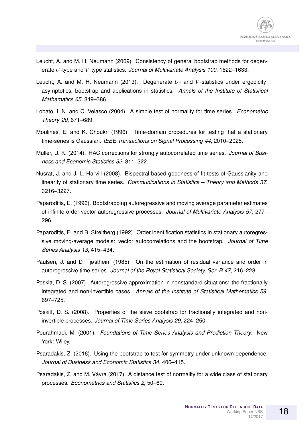- Leucht, A. and M. H. Neumann (2009). Consistency of general bootstrap methods for degenerate U-type and V -type statistics. *Journal of Multivariate Analysis 100*, 1622–1633.
- Leucht, A. and M. H. Neumann (2013). Degenerate  $U$  and V-statistics under ergodicity: asymptotics, bootstrap and applications in statistics. *Annals of the Institute of Statistical Mathematics 65*, 349–386.
- Lobato, I. N. and C. Velasco (2004). A simple test of normality for time series. *Econometric Theory 20*, 671–689.
- Moulines, E. and K. Choukri (1996). Time-domain procedures for testing that a stationary time-series is Gaussian. *IEEE Transactions on Signal Processing 44*, 2010–2025.
- Müller, U. K. (2014). HAC corrections for strongly autocorrelated time series. Journal of Busi*ness and Economic Statistics 32*, 311–322.
- Nusrat, J. and J. L. Harvill (2008). Bispectral-based goodness-of-fit tests of Gaussianity and linearity of stationary time series. *Communications in Statistics – Theory and Methods 37*, 3216–3227.
- Paparoditis, E. (1996). Bootstrapping autoregressive and moving average parameter estimates of infinite order vector autoregressive processes. *Journal of Multivariate Analysis 57*, 277– 296.
- Paparoditis, E. and B. Streitberg (1992). Order identification statistics in stationary autoregressive moving-average models: vector autocorrelations and the bootstrap. *Journal of Time Series Analysis 13*, 415–434.
- Paulsen, J. and D. Tjøstheim (1985). On the estimation of residual variance and order in autoregressive time series. *Journal of the Royal Statistical Society, Ser. B 47*, 216–228.
- Poskitt, D. S. (2007). Autoregressive approximation in nonstandard situations: the fractionally integrated and non-invertible cases. *Annals of the Institute of Statistical Mathematics 59*, 697–725.
- Poskitt, D. S. (2008). Properties of the sieve bootstrap for fractionally integrated and noninvertible processes. *Journal of Time Series Analysis 29*, 224–250.
- Pourahmadi, M. (2001). *Foundations of Time Series Analysis and Prediction Theory*. New York: Wiley.
- Psaradakis, Z. (2016). Using the bootstrap to test for symmetry under unknown dependence. *Journal of Business and Economic Statistics 34*, 406–415.
- Psaradakis, Z. and M. Vávra (2017). A distance test of normality for a wide class of stationary processes. *Econometrics and Statistics 2*, 50–60.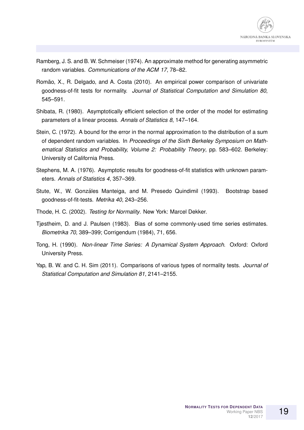- Ramberg, J. S. and B. W. Schmeiser (1974). An approximate method for generating asymmetric random variables. *Communications of the ACM 17*, 78–82.
- Romão, X., R. Delgado, and A. Costa (2010). An empirical power comparison of univariate goodness-of-fit tests for normality. *Journal of Statistical Computation and Simulation 80*, 545–591.
- Shibata, R. (1980). Asymptotically efficient selection of the order of the model for estimating parameters of a linear process. *Annals of Statistics 8*, 147–164.
- Stein, C. (1972). A bound for the error in the normal approximation to the distribution of a sum of dependent random variables. In *Proceedings of the Sixth Berkeley Symposium on Mathematical Statistics and Probability, Volume 2: Probability Theory*, pp. 583–602. Berkeley: University of California Press.
- Stephens, M. A. (1976). Asymptotic results for goodness-of-fit statistics with unknown parameters. *Annals of Statistics 4*, 357–369.
- Stute, W., W. Gonzáles Manteiga, and M. Presedo Quindimil (1993). Bootstrap based goodness-of-fit-tests. *Metrika 40*, 243–256.
- Thode, H. C. (2002). *Testing for Normality*. New York: Marcel Dekker.
- Tjøstheim, D. and J. Paulsen (1983). Bias of some commonly-used time series estimates. *Biometrika 70*, 389–399; Corrigendum (1984), 71, 656.
- Tong, H. (1990). *Non-linear Time Series: A Dynamical System Approach*. Oxford: Oxford University Press.
- Yap, B. W. and C. H. Sim (2011). Comparisons of various types of normality tests. *Journal of Statistical Computation and Simulation 81*, 2141–2155.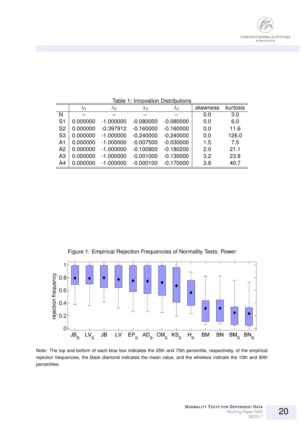

|                | $\lambda_1$ | $\lambda_2$ | $\lambda_3$ | $\lambda_4$ | skewness | kurtosis |
|----------------|-------------|-------------|-------------|-------------|----------|----------|
| N              |             |             |             |             | 0.0      | 3.0      |
| S <sub>1</sub> | 0.000000    | $-1.000000$ | $-0.080000$ | $-0.080000$ | 0.0      | 6.0      |
| S <sub>2</sub> | 0.000000    | $-0.397912$ | $-0.160000$ | $-0.160000$ | 0.0      | 11.6     |
| S <sub>3</sub> | 0.000000    | $-1.000000$ | $-0.240000$ | $-0.240000$ | 0.0      | 126.0    |
| A <sub>1</sub> | 0.000000    | $-1.000000$ | $-0.007500$ | $-0.030000$ | 1.5      | 7.5      |
| A <sub>2</sub> | 0.000000    | $-1.000000$ | $-0.100900$ | $-0.180200$ | 2.0      | 21.1     |
| A3             | 0.000000    | $-1.000000$ | $-0.001000$ | $-0.130000$ | 3.2      | 23.8     |
| A4             | 0.000000    | $-1.000000$ | $-0.000100$ | $-0.170000$ | 3.8      | 40.7     |

Table 1: Innovation Distributions





Note: The top and bottom of each blue box indicates the 25th and 75th percentile, respectively, of the empirical rejection frequencies, the black diamond indicates the mean value, and the whiskers indicate the 10th and 90th percentiles.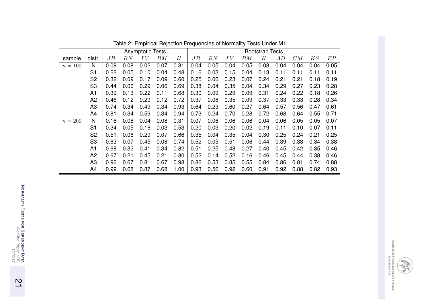|           |                |      |         | <b>Asymptotic Tests</b> |         |      |      |      |      |      | <b>Bootstrap Tests</b> |      |      |      |      |
|-----------|----------------|------|---------|-------------------------|---------|------|------|------|------|------|------------------------|------|------|------|------|
| sample    | distr.         | JB   | $_{BN}$ | LV                      | $_{BM}$ | H    | JB   | BN   | LV   | BМ   | Н                      | AD   | CM   | KS   | EP   |
| $n = 100$ | N              | 0.09 | 0.08    | 0.02                    | 0.07    | 0.31 | 0.04 | 0.05 | 0.04 | 0.05 | 0.03                   | 0.04 | 0.04 | 0.04 | 0.05 |
|           | S <sub>1</sub> | 0.22 | 0.05    | 0.10                    | 0.04    | 0.48 | 0.16 | 0.03 | 0.15 | 0.04 | 0.13                   | 0.11 | 0.11 | 0.11 | 0.11 |
|           | S <sub>2</sub> | 0.32 | 0.09    | 0.17                    | 0.09    | 0.60 | 0.25 | 0.06 | 0.23 | 0.07 | 0.24                   | 0.21 | 0.21 | 0.18 | 0.19 |
|           | S <sub>3</sub> | 0.44 | 0.06    | 0.29                    | 0.06    | 0.69 | 0.38 | 0.04 | 0.35 | 0.04 | 0.34                   | 0.29 | 0.27 | 0.23 | 0.28 |
|           | A <sub>1</sub> | 0.39 | 0.13    | 0.22                    | 0.11    | 0.68 | 0.30 | 0.09 | 0.29 | 0.09 | 0.31                   | 0.24 | 0.22 | 0.18 | 0.26 |
|           | A <sub>2</sub> | 0.46 | 0.12    | 0.29                    | 0.12    | 0.72 | 0.37 | 0.08 | 0.35 | 0.09 | 0.37                   | 0.33 | 0.33 | 0.28 | 0.34 |
|           | A <sub>3</sub> | 0.74 | 0.34    | 0.49                    | 0.34    | 0.93 | 0.64 | 0.23 | 0.60 | 0.27 | 0.64                   | 0.57 | 0.56 | 0.47 | 0.61 |
|           | A4             | 0.81 | 0.34    | 0.59                    | 0.34    | 0.94 | 0.73 | 0.24 | 0.70 | 0.28 | 0.72                   | 0.68 | 0.64 | 0.55 | 0.71 |
| $n=200$   | N              | 0.16 | 0.08    | 0.04                    | 0.08    | 0.31 | 0.07 | 0.06 | 0.06 | 0.06 | 0.04                   | 0.06 | 0.05 | 0.05 | 0.07 |
|           | S <sub>1</sub> | 0.34 | 0.05    | 0.16                    | 0.03    | 0.53 | 0.20 | 0.03 | 0.20 | 0.02 | 0.19                   | 0.11 | 0.10 | 0.07 | 0.11 |
|           | S <sub>2</sub> | 0.51 | 0.06    | 0.29                    | 0.07    | 0.66 | 0.35 | 0.04 | 0.35 | 0.04 | 0.30                   | 0.25 | 0.24 | 0.21 | 0.25 |
|           | S <sub>3</sub> | 0.63 | 0.07    | 0.45                    | 0.08    | 0.74 | 0.52 | 0.05 | 0.51 | 0.06 | 0.44                   | 0.39 | 0.38 | 0.34 | 0.38 |
|           | A1             | 0.68 | 0.32    | 0.41                    | 0.34    | 0.82 | 0.51 | 0.25 | 0.48 | 0.27 | 0.40                   | 0.45 | 0.42 | 0.35 | 0.46 |
|           | A <sub>2</sub> | 0.67 | 0.21    | 0.45                    | 0.21    | 0.80 | 0.52 | 0.14 | 0.52 | 0.16 | 0.46                   | 0.45 | 0.44 | 0.38 | 0.46 |
|           | A <sub>3</sub> | 0.96 | 0.67    | 0.81                    | 0.67    | 0.98 | 0.86 | 0.53 | 0.85 | 0.55 | 0.84                   | 0.86 | 0.81 | 0.74 | 0.88 |
|           | A4             | 0.99 | 0.68    | 0.87                    | 0.68    | 1.00 | 0.93 | 0.56 | 0.92 | 0.60 | 0.91                   | 0.92 | 0.88 | 0.82 | 0.93 |

Table 2: Empirical Rejection Frequencies of Normality Tests Under M1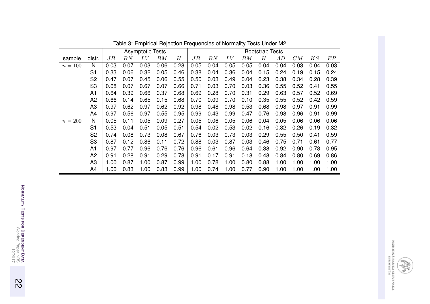|           |                |      |         | <b>Asymptotic Tests</b> |         |      |      |      |      |      | <b>Bootstrap Tests</b> |      |      |      |      |
|-----------|----------------|------|---------|-------------------------|---------|------|------|------|------|------|------------------------|------|------|------|------|
| sample    | distr.         | JB   | $_{BN}$ | LV                      | $_{BM}$ | H    | JB   | BN   | LV   | BМ   | Н                      | AD   | CM   | KS   | EP   |
| $n = 100$ | N              | 0.03 | 0.07    | 0.03                    | 0.06    | 0.28 | 0.05 | 0.04 | 0.05 | 0.05 | 0.04                   | 0.04 | 0.03 | 0.04 | 0.03 |
|           | S <sub>1</sub> | 0.33 | 0.06    | 0.32                    | 0.05    | 0.46 | 0.38 | 0.04 | 0.36 | 0.04 | 0.15                   | 0.24 | 0.19 | 0.15 | 0.24 |
|           | S <sub>2</sub> | 0.47 | 0.07    | 0.45                    | 0.06    | 0.55 | 0.50 | 0.03 | 0.49 | 0.04 | 0.23                   | 0.38 | 0.34 | 0.28 | 0.39 |
|           | S <sub>3</sub> | 0.68 | 0.07    | 0.67                    | 0.07    | 0.66 | 0.71 | 0.03 | 0.70 | 0.03 | 0.36                   | 0.55 | 0.52 | 0.41 | 0.55 |
|           | A <sub>1</sub> | 0.64 | 0.39    | 0.66                    | 0.37    | 0.68 | 0.69 | 0.28 | 0.70 | 0.31 | 0.29                   | 0.63 | 0.57 | 0.52 | 0.69 |
|           | A <sub>2</sub> | 0.66 | 0.14    | 0.65                    | 0.15    | 0.68 | 0.70 | 0.09 | 0.70 | 0.10 | 0.35                   | 0.55 | 0.52 | 0.42 | 0.59 |
|           | A <sub>3</sub> | 0.97 | 0.62    | 0.97                    | 0.62    | 0.92 | 0.98 | 0.48 | 0.98 | 0.53 | 0.68                   | 0.98 | 0.97 | 0.91 | 0.99 |
|           | A4             | 0.97 | 0.56    | 0.97                    | 0.55    | 0.95 | 0.99 | 0.43 | 0.99 | 0.47 | 0.76                   | 0.98 | 0.96 | 0.91 | 0.99 |
| $n=200$   | N              | 0.05 | 0.11    | 0.05                    | 0.09    | 0.27 | 0.05 | 0.06 | 0.05 | 0.06 | 0.04                   | 0.05 | 0.06 | 0.06 | 0.06 |
|           | S <sub>1</sub> | 0.53 | 0.04    | 0.51                    | 0.05    | 0.51 | 0.54 | 0.02 | 0.53 | 0.02 | 0.16                   | 0.32 | 0.26 | 0.19 | 0.32 |
|           | S <sub>2</sub> | 0.74 | 0.08    | 0.73                    | 0.08    | 0.67 | 0.76 | 0.03 | 0.73 | 0.03 | 0.29                   | 0.55 | 0.50 | 0.41 | 0.59 |
|           | S <sub>3</sub> | 0.87 | 0.12    | 0.86                    | 0.11    | 0.72 | 0.88 | 0.03 | 0.87 | 0.03 | 0.46                   | 0.75 | 0.71 | 0.61 | 0.77 |
|           | A1             | 0.97 | 0.77    | 0.96                    | 0.76    | 0.76 | 0.96 | 0.61 | 0.96 | 0.64 | 0.38                   | 0.92 | 0.90 | 0.78 | 0.95 |
|           | A <sub>2</sub> | 0.91 | 0.28    | 0.91                    | 0.29    | 0.78 | 0.91 | 0.17 | 0.91 | 0.18 | 0.48                   | 0.84 | 0.80 | 0.69 | 0.86 |
|           | A <sub>3</sub> | 1.00 | 0.87    | 1.00                    | 0.87    | 0.99 | 1.00 | 0.78 | 1.00 | 0.80 | 0.88                   | 1.00 | 1.00 | 1.00 | 1.00 |
|           | A4             | 1.00 | 0.83    | 1.00                    | 0.83    | 0.99 | 1.00 | 0.74 | 1.00 | 0.77 | 0.90                   | 1.00 | 1.00 | 1.00 | 1.00 |

Table 3: Empirical Rejection Frequencies of Normality Tests Under M2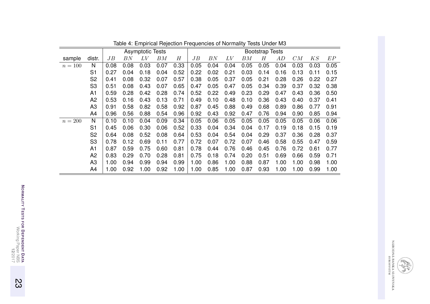|           |                |      |         | <b>Asymptotic Tests</b> |      |      |      |      |      |      | <b>Bootstrap Tests</b> |      |      |      |      |
|-----------|----------------|------|---------|-------------------------|------|------|------|------|------|------|------------------------|------|------|------|------|
| sample    | distr.         | JB   | $_{BN}$ | $LV\,$                  | ΒМ   | H    | JB   | BN   | LV   | BМ   | Н                      | AD   | CM   | KS   | EP   |
| $n = 100$ | N              | 0.08 | 0.08    | 0.03                    | 0.07 | 0.33 | 0.05 | 0.04 | 0.04 | 0.05 | 0.05                   | 0.04 | 0.03 | 0.03 | 0.05 |
|           | S <sub>1</sub> | 0.27 | 0.04    | 0.18                    | 0.04 | 0.52 | 0.22 | 0.02 | 0.21 | 0.03 | 0.14                   | 0.16 | 0.13 | 0.11 | 0.15 |
|           | S <sub>2</sub> | 0.41 | 0.08    | 0.32                    | 0.07 | 0.57 | 0.38 | 0.05 | 0.37 | 0.05 | 0.21                   | 0.28 | 0.26 | 0.22 | 0.27 |
|           | S <sub>3</sub> | 0.51 | 0.08    | 0.43                    | 0.07 | 0.65 | 0.47 | 0.05 | 0.47 | 0.05 | 0.34                   | 0.39 | 0.37 | 0.32 | 0.38 |
|           | A <sub>1</sub> | 0.59 | 0.28    | 0.42                    | 0.28 | 0.74 | 0.52 | 0.22 | 0.49 | 0.23 | 0.29                   | 0.47 | 0.43 | 0.36 | 0.50 |
|           | A <sub>2</sub> | 0.53 | 0.16    | 0.43                    | 0.13 | 0.71 | 0.49 | 0.10 | 0.48 | 0.10 | 0.36                   | 0.43 | 0.40 | 0.37 | 0.41 |
|           | A <sub>3</sub> | 0.91 | 0.58    | 0.82                    | 0.58 | 0.92 | 0.87 | 0.45 | 0.88 | 0.49 | 0.68                   | 0.89 | 0.86 | 0.77 | 0.91 |
|           | A4             | 0.96 | 0.56    | 0.88                    | 0.54 | 0.96 | 0.92 | 0.43 | 0.92 | 0.47 | 0.76                   | 0.94 | 0.90 | 0.85 | 0.94 |
| $n=200$   | N              | 0.10 | 0.10    | 0.04                    | 0.09 | 0.34 | 0.05 | 0.06 | 0.05 | 0.05 | 0.05                   | 0.05 | 0.05 | 0.06 | 0.06 |
|           | S <sub>1</sub> | 0.45 | 0.06    | 0.30                    | 0.06 | 0.52 | 0.33 | 0.04 | 0.34 | 0.04 | 0.17                   | 0.19 | 0.18 | 0.15 | 0.19 |
|           | S <sub>2</sub> | 0.64 | 0.08    | 0.52                    | 0.08 | 0.64 | 0.53 | 0.04 | 0.54 | 0.04 | 0.29                   | 0.37 | 0.36 | 0.28 | 0.37 |
|           | S <sub>3</sub> | 0.78 | 0.12    | 0.69                    | 0.11 | 0.77 | 0.72 | 0.07 | 0.72 | 0.07 | 0.46                   | 0.58 | 0.55 | 0.47 | 0.59 |
|           | A1             | 0.87 | 0.59    | 0.75                    | 0.60 | 0.81 | 0.78 | 0.44 | 0.76 | 0.46 | 0.45                   | 0.76 | 0.72 | 0.61 | 0.77 |
|           | A <sub>2</sub> | 0.83 | 0.29    | 0.70                    | 0.28 | 0.81 | 0.75 | 0.18 | 0.74 | 0.20 | 0.51                   | 0.69 | 0.66 | 0.59 | 0.71 |
|           | A <sub>3</sub> | 1.00 | 0.94    | 0.99                    | 0.94 | 0.99 | 1.00 | 0.86 | 1.00 | 0.88 | 0.87                   | 1.00 | 1.00 | 0.98 | 1.00 |
|           | A4             | 1.00 | 0.92    | 1.00                    | 0.92 | 1.00 | 1.00 | 0.85 | 1.00 | 0.87 | 0.93                   | 1.00 | 1.00 | 0.99 | 1.00 |

Table 4: Empirical Rejection Frequencies of Normality Tests Under M3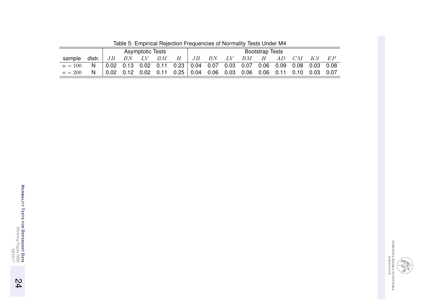|           |        |    |    | <b>Asymptotic Tests</b> |    |                                                                                | <b>Bootstrap Tests</b> |                      |    |    |   |     |    |       |         |
|-----------|--------|----|----|-------------------------|----|--------------------------------------------------------------------------------|------------------------|----------------------|----|----|---|-----|----|-------|---------|
| sample    | distr. | JB | BN | LV                      | BМ | H                                                                              | JB                     | $\cdot$ , BN $\cdot$ | LV | BM | H | AD. | CM | $K$ S | $E$ $P$ |
| $n = 100$ | N,     |    |    |                         |    | $\vert$ 0.02 0.13 0.02 0.11 0.23 0.04 0.07 0.03 0.07 0.06 0.09 0.08 0.03 0.08  |                        |                      |    |    |   |     |    |       |         |
| $n=200$   | N.     |    |    |                         |    | $\mid$ 0.02 0.12 0.02 0.11 0.25   0.04 0.06 0.03 0.06 0.06 0.11 0.10 0.03 0.07 |                        |                      |    |    |   |     |    |       |         |

Table 5: Empirical Rejection Frequencies of Normality Tests Under M4

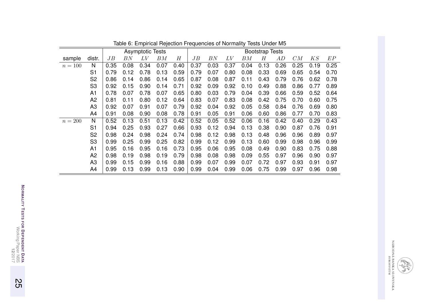|           |                |      |         | <b>Asymptotic Tests</b> |         |      |      |      |      |         | <b>Bootstrap Tests</b> |      |      |                |      |
|-----------|----------------|------|---------|-------------------------|---------|------|------|------|------|---------|------------------------|------|------|----------------|------|
| sample    | distr.         | JВ   | $_{BN}$ | $LV\,$                  | $_{BM}$ | H    | JB   | BN   | LV   | $_{BM}$ | Н                      | AD   | CM   | $K\mathcal{S}$ | EP   |
| $n = 100$ | N              | 0.35 | 0.08    | 0.34                    | 0.07    | 0.40 | 0.37 | 0.03 | 0.37 | 0.04    | 0.13                   | 0.26 | 0.25 | 0.19           | 0.25 |
|           | S <sub>1</sub> | 0.79 | 0.12    | 0.78                    | 0.13    | 0.59 | 0.79 | 0.07 | 0.80 | 0.08    | 0.33                   | 0.69 | 0.65 | 0.54           | 0.70 |
|           | S <sub>2</sub> | 0.86 | 0.14    | 0.86                    | 0.14    | 0.65 | 0.87 | 0.08 | 0.87 | 0.11    | 0.43                   | 0.79 | 0.76 | 0.62           | 0.78 |
|           | S <sub>3</sub> | 0.92 | 0.15    | 0.90                    | 0.14    | 0.71 | 0.92 | 0.09 | 0.92 | 0.10    | 0.49                   | 0.88 | 0.86 | 0.77           | 0.89 |
|           | A <sub>1</sub> | 0.78 | 0.07    | 0.78                    | 0.07    | 0.65 | 0.80 | 0.03 | 0.79 | 0.04    | 0.39                   | 0.66 | 0.59 | 0.52           | 0.64 |
|           | A <sub>2</sub> | 0.81 | 0.11    | 0.80                    | 0.12    | 0.64 | 0.83 | 0.07 | 0.83 | 0.08    | 0.42                   | 0.75 | 0.70 | 0.60           | 0.75 |
|           | A <sub>3</sub> | 0.92 | 0.07    | 0.91                    | 0.07    | 0.79 | 0.92 | 0.04 | 0.92 | 0.05    | 0.58                   | 0.84 | 0.76 | 0.69           | 0.80 |
|           | A4             | 0.91 | 0.08    | 0.90                    | 0.08    | 0.78 | 0.91 | 0.05 | 0.91 | 0.06    | 0.60                   | 0.86 | 0.77 | 0.70           | 0.83 |
| $n=200$   | N              | 0.52 | 0.13    | 0.51                    | 0.13    | 0.42 | 0.52 | 0.05 | 0.52 | 0.06    | 0.16                   | 0.42 | 0.40 | 0.29           | 0.43 |
|           | S <sub>1</sub> | 0.94 | 0.25    | 0.93                    | 0.27    | 0.66 | 0.93 | 0.12 | 0.94 | 0.13    | 0.38                   | 0.90 | 0.87 | 0.76           | 0.91 |
|           | S <sub>2</sub> | 0.98 | 0.24    | 0.98                    | 0.24    | 0.74 | 0.98 | 0.12 | 0.98 | 0.13    | 0.48                   | 0.96 | 0.96 | 0.89           | 0.97 |
|           | S <sub>3</sub> | 0.99 | 0.25    | 0.99                    | 0.25    | 0.82 | 0.99 | 0.12 | 0.99 | 0.13    | 0.60                   | 0.99 | 0.98 | 0.96           | 0.99 |
|           | A <sub>1</sub> | 0.95 | 0.16    | 0.95                    | 0.16    | 0.73 | 0.95 | 0.06 | 0.95 | 0.08    | 0.49                   | 0.90 | 0.83 | 0.75           | 0.88 |
|           | A <sub>2</sub> | 0.98 | 0.19    | 0.98                    | 0.19    | 0.79 | 0.98 | 0.08 | 0.98 | 0.09    | 0.55                   | 0.97 | 0.96 | 0.90           | 0.97 |
|           | A <sub>3</sub> | 0.99 | 0.15    | 0.99                    | 0.16    | 0.88 | 0.99 | 0.07 | 0.99 | 0.07    | 0.72                   | 0.97 | 0.93 | 0.91           | 0.97 |
|           | A4             | 0.99 | 0.13    | 0.99                    | 0.13    | 0.90 | 0.99 | 0.04 | 0.99 | 0.06    | 0.75                   | 0.99 | 0.97 | 0.96           | 0.98 |

Table 6: Empirical Rejection Frequencies of Normality Tests Under M5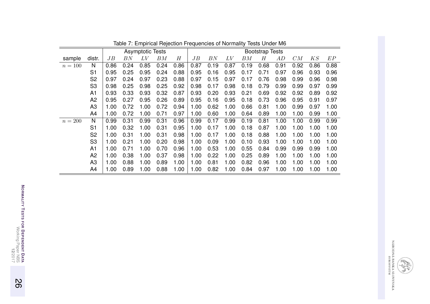|           |                |      |         | <b>Asymptotic Tests</b> |      |      |      |         |      |      | <b>Bootstrap Tests</b> |      |      |      |      |
|-----------|----------------|------|---------|-------------------------|------|------|------|---------|------|------|------------------------|------|------|------|------|
| sample    | distr.         | JB   | $_{BN}$ | $LV\,$                  | BM   | H    | JB   | $_{BN}$ | LV   | ΒМ   | Η                      | AD   | CM   | KS   | EP   |
| $n = 100$ | N              | 0.86 | 0.24    | 0.85                    | 0.24 | 0.86 | 0.87 | 0.19    | 0.87 | 0.19 | 0.68                   | 0.91 | 0.92 | 0.86 | 0.88 |
|           | S <sub>1</sub> | 0.95 | 0.25    | 0.95                    | 0.24 | 0.88 | 0.95 | 0.16    | 0.95 | 0.17 | 0.71                   | 0.97 | 0.96 | 0.93 | 0.96 |
|           | S <sub>2</sub> | 0.97 | 0.24    | 0.97                    | 0.23 | 0.88 | 0.97 | 0.15    | 0.97 | 0.17 | 0.76                   | 0.98 | 0.99 | 0.96 | 0.98 |
|           | S <sub>3</sub> | 0.98 | 0.25    | 0.98                    | 0.25 | 0.92 | 0.98 | 0.17    | 0.98 | 0.18 | 0.79                   | 0.99 | 0.99 | 0.97 | 0.99 |
|           | A1             | 0.93 | 0.33    | 0.93                    | 0.32 | 0.87 | 0.93 | 0.20    | 0.93 | 0.21 | 0.69                   | 0.92 | 0.92 | 0.89 | 0.92 |
|           | A2             | 0.95 | 0.27    | 0.95                    | 0.26 | 0.89 | 0.95 | 0.16    | 0.95 | 0.18 | 0.73                   | 0.96 | 0.95 | 0.91 | 0.97 |
|           | A3             | 1.00 | 0.72    | 1.00                    | 0.72 | 0.94 | 1.00 | 0.62    | 1.00 | 0.66 | 0.81                   | 1.00 | 0.99 | 0.97 | 1.00 |
|           | A4             | 1.00 | 0.72    | 1.00                    | 0.71 | 0.97 | 1.00 | 0.60    | 1.00 | 0.64 | 0.89                   | 1.00 | 1.00 | 0.99 | 1.00 |
| $n = 200$ | N              | 0.99 | 0.31    | 0.99                    | 0.31 | 0.96 | 0.99 | 0.17    | 0.99 | 0.19 | 0.81                   | 1.00 | 1.00 | 0.99 | 0.99 |
|           | S <sub>1</sub> | 1.00 | 0.32    | 1.00                    | 0.31 | 0.95 | 1.00 | 0.17    | 1.00 | 0.18 | 0.87                   | 1.00 | 1.00 | 1.00 | 1.00 |
|           | S <sub>2</sub> | 1.00 | 0.31    | 1.00                    | 0.31 | 0.98 | 1.00 | 0.17    | 1.00 | 0.18 | 0.88                   | 1.00 | 1.00 | 1.00 | 1.00 |
|           | S <sub>3</sub> | 1.00 | 0.21    | 1.00                    | 0.20 | 0.98 | 1.00 | 0.09    | 1.00 | 0.10 | 0.93                   | 1.00 | 1.00 | 1.00 | 1.00 |
|           | A1             | 1.00 | 0.71    | 1.00                    | 0.70 | 0.96 | 1.00 | 0.53    | 1.00 | 0.55 | 0.84                   | 0.99 | 0.99 | 0.99 | 1.00 |
|           | A <sub>2</sub> | 1.00 | 0.38    | 1.00                    | 0.37 | 0.98 | 1.00 | 0.22    | 1.00 | 0.25 | 0.89                   | 1.00 | 1.00 | 1.00 | 1.00 |
|           | A <sub>3</sub> | 1.00 | 0.88    | 1.00                    | 0.89 | 1.00 | 1.00 | 0.81    | 1.00 | 0.82 | 0.96                   | 1.00 | 1.00 | 1.00 | 1.00 |
|           | A4             | 1.00 | 0.89    | 1.00                    | 0.88 | 1.00 | 1.00 | 0.82    | 1.00 | 0.84 | 0.97                   | 1.00 | 1.00 | 1.00 | 1.00 |

Table 7: Empirical Rejection Frequencies of Normality Tests Under M6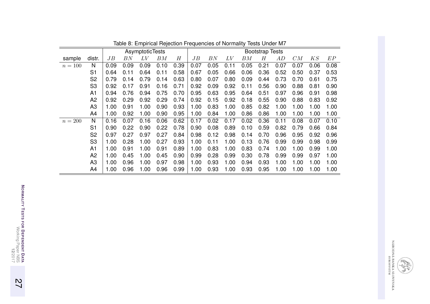|           |                |      |         | AsymptoticTests |         |      |      |      |         |      | <b>Bootstrap Tests</b> |      |      |                |      |
|-----------|----------------|------|---------|-----------------|---------|------|------|------|---------|------|------------------------|------|------|----------------|------|
| sample    | distr.         | JB   | $_{BN}$ | LV              | $_{BM}$ | H    | JB   | BN   | $_{LV}$ | BM   | Н                      | AD   | CM   | $K\mathcal{S}$ | EP   |
| $n = 100$ | N              | 0.09 | 0.09    | 0.09            | 0.10    | 0.39 | 0.07 | 0.05 | 0.11    | 0.05 | 0.21                   | 0.07 | 0.07 | 0.06           | 0.08 |
|           | S <sub>1</sub> | 0.64 | 0.11    | 0.64            | 0.11    | 0.58 | 0.67 | 0.05 | 0.66    | 0.06 | 0.36                   | 0.52 | 0.50 | 0.37           | 0.53 |
|           | S <sub>2</sub> | 0.79 | 0.14    | 0.79            | 0.14    | 0.63 | 0.80 | 0.07 | 0.80    | 0.09 | 0.44                   | 0.73 | 0.70 | 0.61           | 0.75 |
|           | S <sub>3</sub> | 0.92 | 0.17    | 0.91            | 0.16    | 0.71 | 0.92 | 0.09 | 0.92    | 0.11 | 0.56                   | 0.90 | 0.88 | 0.81           | 0.90 |
|           | A <sub>1</sub> | 0.94 | 0.76    | 0.94            | 0.75    | 0.70 | 0.95 | 0.63 | 0.95    | 0.64 | 0.51                   | 0.97 | 0.96 | 0.91           | 0.98 |
|           | A <sub>2</sub> | 0.92 | 0.29    | 0.92            | 0.29    | 0.74 | 0.92 | 0.15 | 0.92    | 0.18 | 0.55                   | 0.90 | 0.88 | 0.83           | 0.92 |
|           | A <sub>3</sub> | 1.00 | 0.91    | 1.00            | 0.90    | 0.93 | 1.00 | 0.83 | 1.00    | 0.85 | 0.82                   | 1.00 | 1.00 | 1.00           | 1.00 |
|           | A4             | 1.00 | 0.92    | 1.00            | 0.90    | 0.95 | 1.00 | 0.84 | 1.00    | 0.86 | 0.86                   | 1.00 | 1.00 | 1.00           | 1.00 |
| $n=200$   | N              | 0.16 | 0.07    | 0.16            | 0.06    | 0.62 | 0.17 | 0.02 | 0.17    | 0.02 | 0.36                   | 0.11 | 0.08 | 0.07           | 0.10 |
|           | S <sub>1</sub> | 0.90 | 0.22    | 0.90            | 0.22    | 0.78 | 0.90 | 0.08 | 0.89    | 0.10 | 0.59                   | 0.82 | 0.79 | 0.66           | 0.84 |
|           | S <sub>2</sub> | 0.97 | 0.27    | 0.97            | 0.27    | 0.84 | 0.98 | 0.12 | 0.98    | 0.14 | 0.70                   | 0.96 | 0.95 | 0.92           | 0.96 |
|           | S <sub>3</sub> | 1.00 | 0.28    | 1.00            | 0.27    | 0.93 | 1.00 | 0.11 | 1.00    | 0.13 | 0.76                   | 0.99 | 0.99 | 0.98           | 0.99 |
|           | A <sub>1</sub> | 1.00 | 0.91    | 1.00            | 0.91    | 0.89 | 1.00 | 0.83 | 1.00    | 0.83 | 0.74                   | 1.00 | 1.00 | 0.99           | 1.00 |
|           | A <sub>2</sub> | 1.00 | 0.45    | 1.00            | 0.45    | 0.90 | 0.99 | 0.28 | 0.99    | 0.30 | 0.78                   | 0.99 | 0.99 | 0.97           | 1.00 |
|           | A <sub>3</sub> | 1.00 | 0.96    | 1.00            | 0.97    | 0.98 | 1.00 | 0.93 | 1.00    | 0.94 | 0.93                   | 1.00 | 1.00 | 1.00           | 1.00 |
|           | A4             | 1.00 | 0.96    | 1.00            | 0.96    | 0.99 | 1.00 | 0.93 | 1.00    | 0.93 | 0.95                   | 1.00 | 1.00 | 1.00           | 1.00 |

Table 8: Empirical Rejection Frequencies of Normality Tests Under M7